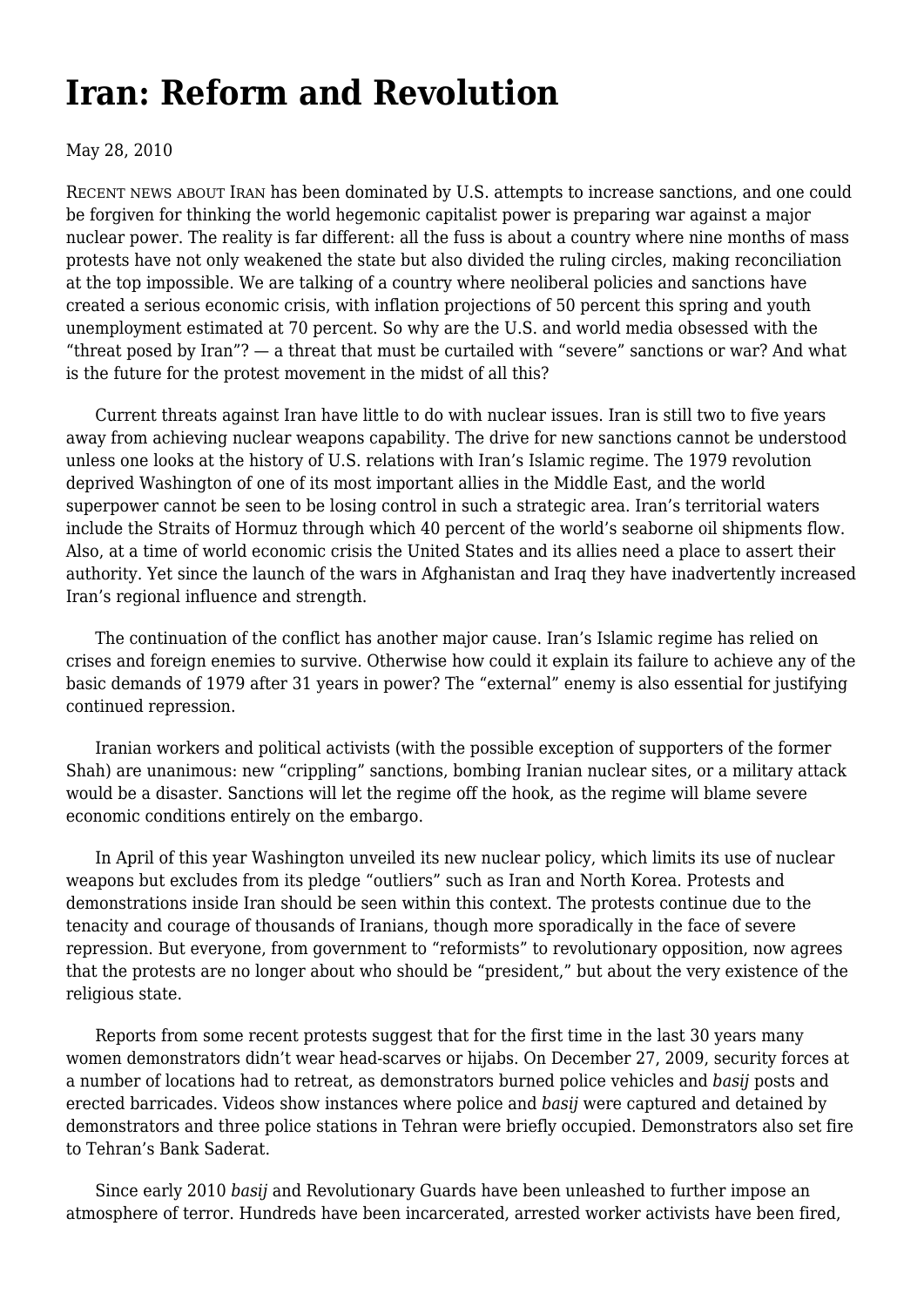# **[Iran: Reform and Revolution](https://newpol.org/issue_post/iran-reform-and-revolution/)**

May 28, 2010

RECENT NEWS ABOUT IRAN has been dominated by U.S. attempts to increase sanctions, and one could be forgiven for thinking the world hegemonic capitalist power is preparing war against a major nuclear power. The reality is far different: all the fuss is about a country where nine months of mass protests have not only weakened the state but also divided the ruling circles, making reconciliation at the top impossible. We are talking of a country where neoliberal policies and sanctions have created a serious economic crisis, with inflation projections of 50 percent this spring and youth unemployment estimated at 70 percent. So why are the U.S. and world media obsessed with the "threat posed by Iran"? — a threat that must be curtailed with "severe" sanctions or war? And what is the future for the protest movement in the midst of all this?

 Current threats against Iran have little to do with nuclear issues. Iran is still two to five years away from achieving nuclear weapons capability. The drive for new sanctions cannot be understood unless one looks at the history of U.S. relations with Iran's Islamic regime. The 1979 revolution deprived Washington of one of its most important allies in the Middle East, and the world superpower cannot be seen to be losing control in such a strategic area. Iran's territorial waters include the Straits of Hormuz through which 40 percent of the world's seaborne oil shipments flow. Also, at a time of world economic crisis the United States and its allies need a place to assert their authority. Yet since the launch of the wars in Afghanistan and Iraq they have inadvertently increased Iran's regional influence and strength.

 The continuation of the conflict has another major cause. Iran's Islamic regime has relied on crises and foreign enemies to survive. Otherwise how could it explain its failure to achieve any of the basic demands of 1979 after 31 years in power? The "external" enemy is also essential for justifying continued repression.

 Iranian workers and political activists (with the possible exception of supporters of the former Shah) are unanimous: new "crippling" sanctions, bombing Iranian nuclear sites, or a military attack would be a disaster. Sanctions will let the regime off the hook, as the regime will blame severe economic conditions entirely on the embargo.

 In April of this year Washington unveiled its new nuclear policy, which limits its use of nuclear weapons but excludes from its pledge "outliers" such as Iran and North Korea. Protests and demonstrations inside Iran should be seen within this context. The protests continue due to the tenacity and courage of thousands of Iranians, though more sporadically in the face of severe repression. But everyone, from government to "reformists" to revolutionary opposition, now agrees that the protests are no longer about who should be "president," but about the very existence of the religious state.

 Reports from some recent protests suggest that for the first time in the last 30 years many women demonstrators didn't wear head-scarves or hijabs. On December 27, 2009, security forces at a number of locations had to retreat, as demonstrators burned police vehicles and *basij* posts and erected barricades. Videos show instances where police and *basij* were captured and detained by demonstrators and three police stations in Tehran were briefly occupied. Demonstrators also set fire to Tehran's Bank Saderat.

 Since early 2010 *basij* and Revolutionary Guards have been unleashed to further impose an atmosphere of terror. Hundreds have been incarcerated, arrested worker activists have been fired,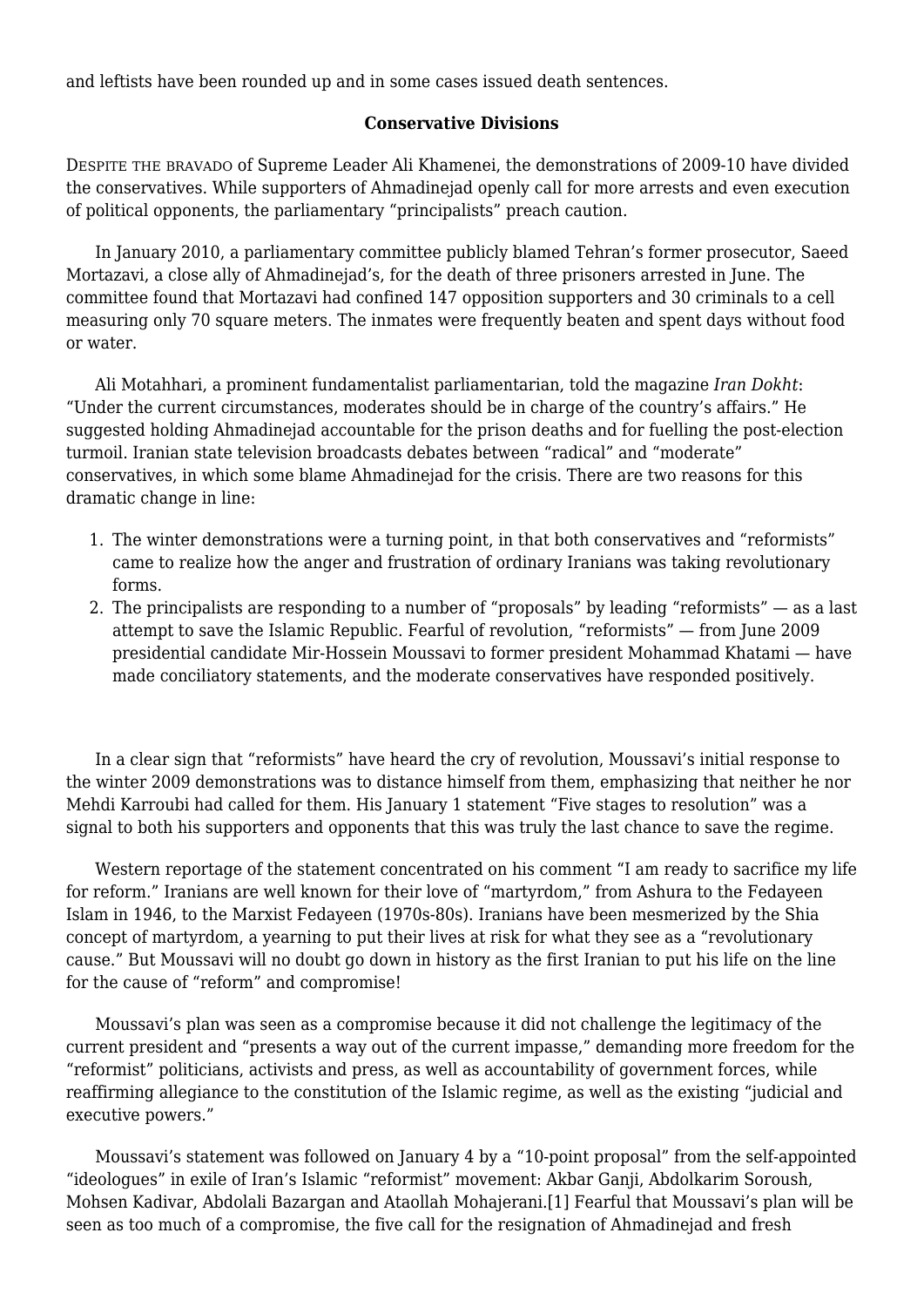and leftists have been rounded up and in some cases issued death sentences.

### **Conservative Divisions**

DESPITE THE BRAVADO of Supreme Leader Ali Khamenei, the demonstrations of 2009-10 have divided the conservatives. While supporters of Ahmadinejad openly call for more arrests and even execution of political opponents, the parliamentary "principalists" preach caution.

 In January 2010, a parliamentary committee publicly blamed Tehran's former prosecutor, Saeed Mortazavi, a close ally of Ahmadinejad's, for the death of three prisoners arrested in June. The committee found that Mortazavi had confined 147 opposition supporters and 30 criminals to a cell measuring only 70 square meters. The inmates were frequently beaten and spent days without food or water.

 Ali Motahhari, a prominent fundamentalist parliamentarian, told the magazine *Iran Dokht*: "Under the current circumstances, moderates should be in charge of the country's affairs." He suggested holding Ahmadinejad accountable for the prison deaths and for fuelling the post-election turmoil. Iranian state television broadcasts debates between "radical" and "moderate" conservatives, in which some blame Ahmadinejad for the crisis. There are two reasons for this dramatic change in line:

- 1. The winter demonstrations were a turning point, in that both conservatives and "reformists" came to realize how the anger and frustration of ordinary Iranians was taking revolutionary forms.
- 2. The principalists are responding to a number of "proposals" by leading "reformists" as a last attempt to save the Islamic Republic. Fearful of revolution, "reformists" — from June 2009 presidential candidate Mir-Hossein Moussavi to former president Mohammad Khatami — have made conciliatory statements, and the moderate conservatives have responded positively.

 In a clear sign that "reformists" have heard the cry of revolution, Moussavi's initial response to the winter 2009 demonstrations was to distance himself from them, emphasizing that neither he nor Mehdi Karroubi had called for them. His January 1 statement "Five stages to resolution" was a signal to both his supporters and opponents that this was truly the last chance to save the regime.

 Western reportage of the statement concentrated on his comment "I am ready to sacrifice my life for reform." Iranians are well known for their love of "martyrdom," from Ashura to the Fedayeen Islam in 1946, to the Marxist Fedayeen (1970s-80s). Iranians have been mesmerized by the Shia concept of martyrdom, a yearning to put their lives at risk for what they see as a "revolutionary cause." But Moussavi will no doubt go down in history as the first Iranian to put his life on the line for the cause of "reform" and compromise!

 Moussavi's plan was seen as a compromise because it did not challenge the legitimacy of the current president and "presents a way out of the current impasse," demanding more freedom for the "reformist" politicians, activists and press, as well as accountability of government forces, while reaffirming allegiance to the constitution of the Islamic regime, as well as the existing "judicial and executive powers."

 Moussavi's statement was followed on January 4 by a "10-point proposal" from the self-appointed "ideologues" in exile of Iran's Islamic "reformist" movement: Akbar Ganji, Abdolkarim Soroush, Mohsen Kadivar, Abdolali Bazargan and Ataollah Mohajerani.[1] Fearful that Moussavi's plan will be seen as too much of a compromise, the five call for the resignation of Ahmadinejad and fresh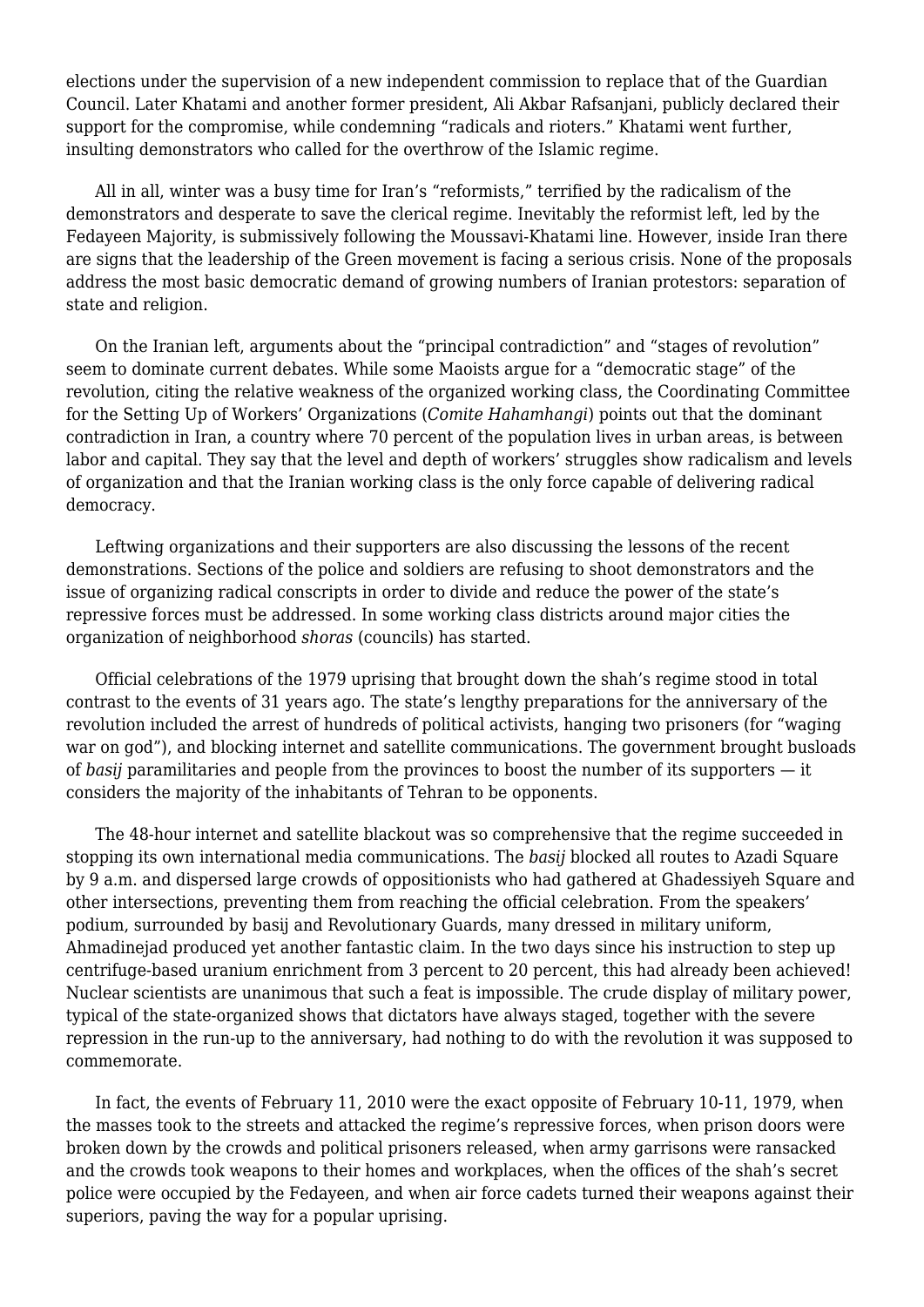elections under the supervision of a new independent commission to replace that of the Guardian Council. Later Khatami and another former president, Ali Akbar Rafsanjani, publicly declared their support for the compromise, while condemning "radicals and rioters." Khatami went further, insulting demonstrators who called for the overthrow of the Islamic regime.

 All in all, winter was a busy time for Iran's "reformists," terrified by the radicalism of the demonstrators and desperate to save the clerical regime. Inevitably the reformist left, led by the Fedayeen Majority, is submissively following the Moussavi-Khatami line. However, inside Iran there are signs that the leadership of the Green movement is facing a serious crisis. None of the proposals address the most basic democratic demand of growing numbers of Iranian protestors: separation of state and religion.

 On the Iranian left, arguments about the "principal contradiction" and "stages of revolution" seem to dominate current debates. While some Maoists argue for a "democratic stage" of the revolution, citing the relative weakness of the organized working class, the Coordinating Committee for the Setting Up of Workers' Organizations (*Comite Hahamhangi*) points out that the dominant contradiction in Iran, a country where 70 percent of the population lives in urban areas, is between labor and capital. They say that the level and depth of workers' struggles show radicalism and levels of organization and that the Iranian working class is the only force capable of delivering radical democracy.

 Leftwing organizations and their supporters are also discussing the lessons of the recent demonstrations. Sections of the police and soldiers are refusing to shoot demonstrators and the issue of organizing radical conscripts in order to divide and reduce the power of the state's repressive forces must be addressed. In some working class districts around major cities the organization of neighborhood *shoras* (councils) has started.

 Official celebrations of the 1979 uprising that brought down the shah's regime stood in total contrast to the events of 31 years ago. The state's lengthy preparations for the anniversary of the revolution included the arrest of hundreds of political activists, hanging two prisoners (for "waging war on god"), and blocking internet and satellite communications. The government brought busloads of *basij* paramilitaries and people from the provinces to boost the number of its supporters — it considers the majority of the inhabitants of Tehran to be opponents.

 The 48-hour internet and satellite blackout was so comprehensive that the regime succeeded in stopping its own international media communications. The *basij* blocked all routes to Azadi Square by 9 a.m. and dispersed large crowds of oppositionists who had gathered at Ghadessiyeh Square and other intersections, preventing them from reaching the official celebration. From the speakers' podium, surrounded by basij and Revolutionary Guards, many dressed in military uniform, Ahmadinejad produced yet another fantastic claim. In the two days since his instruction to step up centrifuge-based uranium enrichment from 3 percent to 20 percent, this had already been achieved! Nuclear scientists are unanimous that such a feat is impossible. The crude display of military power, typical of the state-organized shows that dictators have always staged, together with the severe repression in the run-up to the anniversary, had nothing to do with the revolution it was supposed to commemorate.

 In fact, the events of February 11, 2010 were the exact opposite of February 10-11, 1979, when the masses took to the streets and attacked the regime's repressive forces, when prison doors were broken down by the crowds and political prisoners released, when army garrisons were ransacked and the crowds took weapons to their homes and workplaces, when the offices of the shah's secret police were occupied by the Fedayeen, and when air force cadets turned their weapons against their superiors, paving the way for a popular uprising.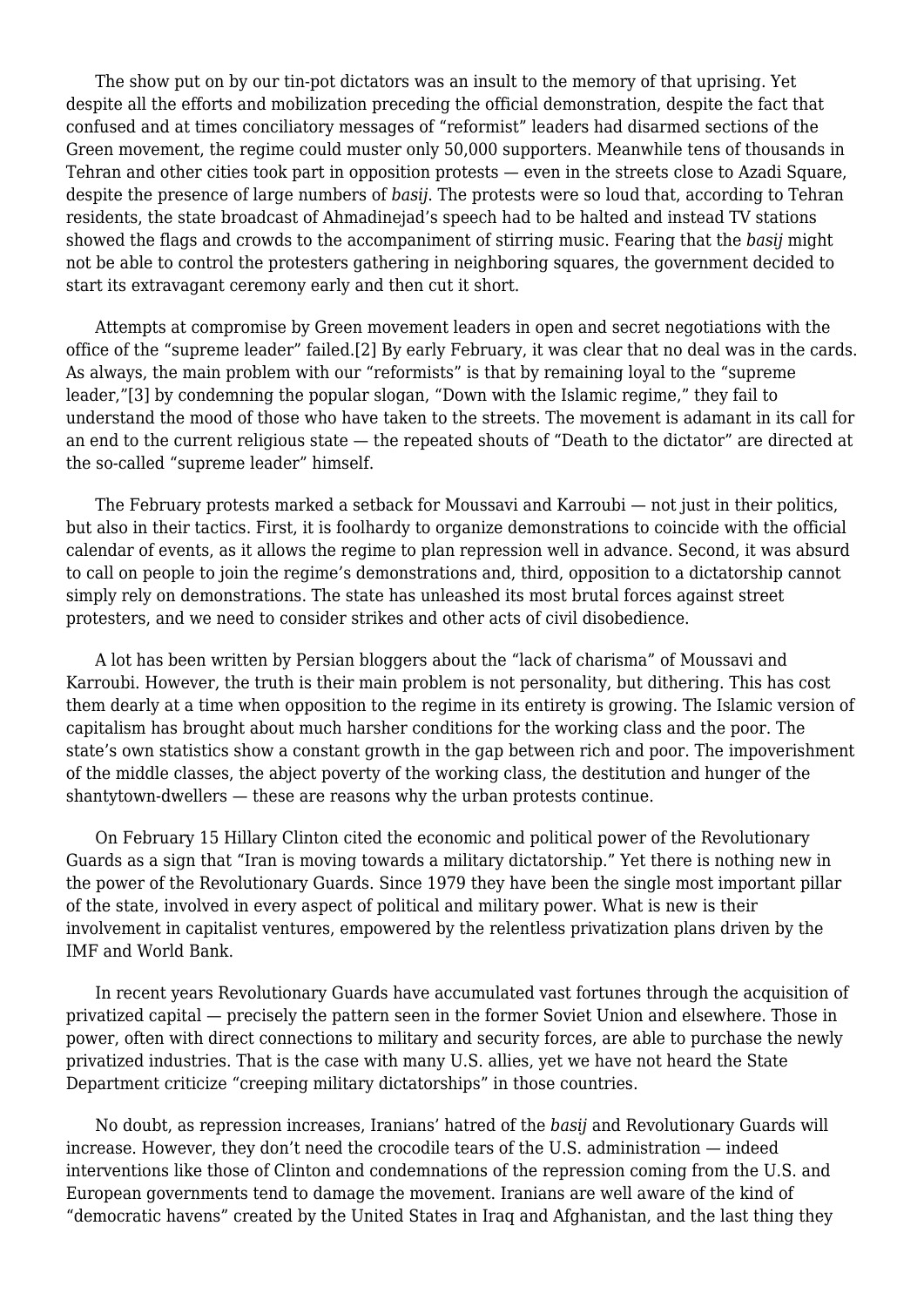The show put on by our tin-pot dictators was an insult to the memory of that uprising. Yet despite all the efforts and mobilization preceding the official demonstration, despite the fact that confused and at times conciliatory messages of "reformist" leaders had disarmed sections of the Green movement, the regime could muster only 50,000 supporters. Meanwhile tens of thousands in Tehran and other cities took part in opposition protests — even in the streets close to Azadi Square, despite the presence of large numbers of *basij*. The protests were so loud that, according to Tehran residents, the state broadcast of Ahmadinejad's speech had to be halted and instead TV stations showed the flags and crowds to the accompaniment of stirring music. Fearing that the *basij* might not be able to control the protesters gathering in neighboring squares, the government decided to start its extravagant ceremony early and then cut it short.

 Attempts at compromise by Green movement leaders in open and secret negotiations with the office of the "supreme leader" failed.[2] By early February, it was clear that no deal was in the cards. As always, the main problem with our "reformists" is that by remaining loyal to the "supreme leader,"[3] by condemning the popular slogan, "Down with the Islamic regime," they fail to understand the mood of those who have taken to the streets. The movement is adamant in its call for an end to the current religious state — the repeated shouts of "Death to the dictator" are directed at the so-called "supreme leader" himself.

 The February protests marked a setback for Moussavi and Karroubi — not just in their politics, but also in their tactics. First, it is foolhardy to organize demonstrations to coincide with the official calendar of events, as it allows the regime to plan repression well in advance. Second, it was absurd to call on people to join the regime's demonstrations and, third, opposition to a dictatorship cannot simply rely on demonstrations. The state has unleashed its most brutal forces against street protesters, and we need to consider strikes and other acts of civil disobedience.

 A lot has been written by Persian bloggers about the "lack of charisma" of Moussavi and Karroubi. However, the truth is their main problem is not personality, but dithering. This has cost them dearly at a time when opposition to the regime in its entirety is growing. The Islamic version of capitalism has brought about much harsher conditions for the working class and the poor. The state's own statistics show a constant growth in the gap between rich and poor. The impoverishment of the middle classes, the abject poverty of the working class, the destitution and hunger of the shantytown-dwellers — these are reasons why the urban protests continue.

 On February 15 Hillary Clinton cited the economic and political power of the Revolutionary Guards as a sign that "Iran is moving towards a military dictatorship." Yet there is nothing new in the power of the Revolutionary Guards. Since 1979 they have been the single most important pillar of the state, involved in every aspect of political and military power. What is new is their involvement in capitalist ventures, empowered by the relentless privatization plans driven by the IMF and World Bank.

 In recent years Revolutionary Guards have accumulated vast fortunes through the acquisition of privatized capital — precisely the pattern seen in the former Soviet Union and elsewhere. Those in power, often with direct connections to military and security forces, are able to purchase the newly privatized industries. That is the case with many U.S. allies, yet we have not heard the State Department criticize "creeping military dictatorships" in those countries.

 No doubt, as repression increases, Iranians' hatred of the *basij* and Revolutionary Guards will increase. However, they don't need the crocodile tears of the U.S. administration — indeed interventions like those of Clinton and condemnations of the repression coming from the U.S. and European governments tend to damage the movement. Iranians are well aware of the kind of "democratic havens" created by the United States in Iraq and Afghanistan, and the last thing they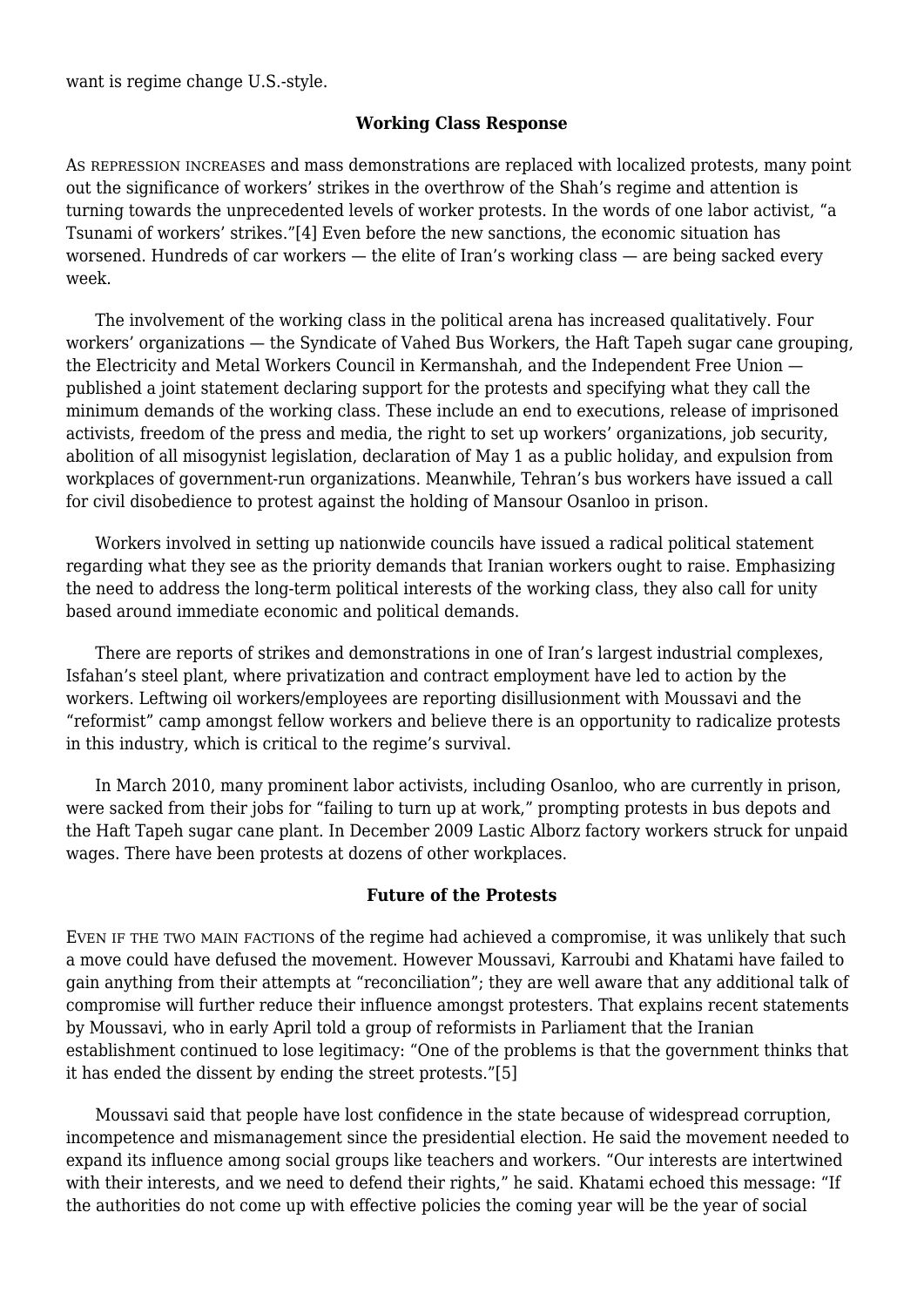want is regime change U.S.-style.

### **Working Class Response**

AS REPRESSION INCREASES and mass demonstrations are replaced with localized protests, many point out the significance of workers' strikes in the overthrow of the Shah's regime and attention is turning towards the unprecedented levels of worker protests. In the words of one labor activist, "a Tsunami of workers' strikes."[4] Even before the new sanctions, the economic situation has worsened. Hundreds of car workers — the elite of Iran's working class — are being sacked every week.

 The involvement of the working class in the political arena has increased qualitatively. Four workers' organizations — the Syndicate of Vahed Bus Workers, the Haft Tapeh sugar cane grouping, the Electricity and Metal Workers Council in Kermanshah, and the Independent Free Union published a joint statement declaring support for the protests and specifying what they call the minimum demands of the working class. These include an end to executions, release of imprisoned activists, freedom of the press and media, the right to set up workers' organizations, job security, abolition of all misogynist legislation, declaration of May 1 as a public holiday, and expulsion from workplaces of government-run organizations. Meanwhile, Tehran's bus workers have issued a call for civil disobedience to protest against the holding of Mansour Osanloo in prison.

 Workers involved in setting up nationwide councils have issued a radical political statement regarding what they see as the priority demands that Iranian workers ought to raise. Emphasizing the need to address the long-term political interests of the working class, they also call for unity based around immediate economic and political demands.

 There are reports of strikes and demonstrations in one of Iran's largest industrial complexes, Isfahan's steel plant, where privatization and contract employment have led to action by the workers. Leftwing oil workers/employees are reporting disillusionment with Moussavi and the "reformist" camp amongst fellow workers and believe there is an opportunity to radicalize protests in this industry, which is critical to the regime's survival.

 In March 2010, many prominent labor activists, including Osanloo, who are currently in prison, were sacked from their jobs for "failing to turn up at work," prompting protests in bus depots and the Haft Tapeh sugar cane plant. In December 2009 Lastic Alborz factory workers struck for unpaid wages. There have been protests at dozens of other workplaces.

### **Future of the Protests**

EVEN IF THE TWO MAIN FACTIONS of the regime had achieved a compromise, it was unlikely that such a move could have defused the movement. However Moussavi, Karroubi and Khatami have failed to gain anything from their attempts at "reconciliation"; they are well aware that any additional talk of compromise will further reduce their influence amongst protesters. That explains recent statements by Moussavi, who in early April told a group of reformists in Parliament that the Iranian establishment continued to lose legitimacy: "One of the problems is that the government thinks that it has ended the dissent by ending the street protests."[5]

 Moussavi said that people have lost confidence in the state because of widespread corruption, incompetence and mismanagement since the presidential election. He said the movement needed to expand its influence among social groups like teachers and workers. "Our interests are intertwined with their interests, and we need to defend their rights," he said. Khatami echoed this message: "If the authorities do not come up with effective policies the coming year will be the year of social